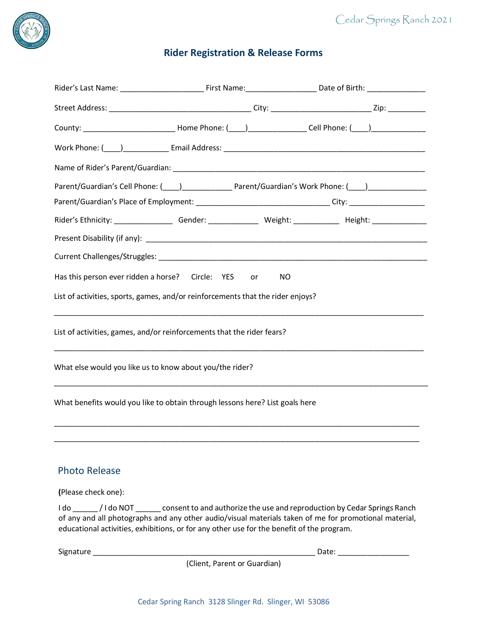

# **Rider Registration & Release Forms**

|                                                                                           |                                                                                                                       | County: _________________________________Home Phone: (____)___________________Cell Phone: (____)______________                                                                                                                 |  |
|-------------------------------------------------------------------------------------------|-----------------------------------------------------------------------------------------------------------------------|--------------------------------------------------------------------------------------------------------------------------------------------------------------------------------------------------------------------------------|--|
|                                                                                           |                                                                                                                       | Work Phone: (\bud_) \budget_communicational Address: \budget_communications = Email Address: \budget_communications = \budgetQuark Phone: (\budgetQuark Phone: \budgetQuark Phone: \budgetQuark Phone: \budgetQuark Phone: \bu |  |
|                                                                                           |                                                                                                                       |                                                                                                                                                                                                                                |  |
|                                                                                           |                                                                                                                       | Parent/Guardian's Cell Phone: (1990) [19] Parent/Guardian's Work Phone: (2009) [19] Parent/Guardian's Work Phone: (2009)                                                                                                       |  |
|                                                                                           |                                                                                                                       | Parent/Guardian's Place of Employment: __________________________________City: _____________________                                                                                                                           |  |
|                                                                                           |                                                                                                                       |                                                                                                                                                                                                                                |  |
|                                                                                           |                                                                                                                       |                                                                                                                                                                                                                                |  |
|                                                                                           |                                                                                                                       |                                                                                                                                                                                                                                |  |
| Has this person ever ridden a horse? Circle: YES                                          | or                                                                                                                    | NO                                                                                                                                                                                                                             |  |
| List of activities, sports, games, and/or reinforcements that the rider enjoys?           |                                                                                                                       |                                                                                                                                                                                                                                |  |
| List of activities, games, and/or reinforcements that the rider fears?                    |                                                                                                                       |                                                                                                                                                                                                                                |  |
| What else would you like us to know about you/the rider?                                  |                                                                                                                       |                                                                                                                                                                                                                                |  |
| What benefits would you like to obtain through lessons here? List goals here              |                                                                                                                       |                                                                                                                                                                                                                                |  |
|                                                                                           |                                                                                                                       |                                                                                                                                                                                                                                |  |
| <b>Photo Release</b>                                                                      |                                                                                                                       |                                                                                                                                                                                                                                |  |
| (Please check one):                                                                       |                                                                                                                       |                                                                                                                                                                                                                                |  |
| educational activities, exhibitions, or for any other use for the benefit of the program. |                                                                                                                       | I do ________/ I do NOT ________ consent to and authorize the use and reproduction by Cedar Springs Ranch<br>of any and all photographs and any other audio/visual materials taken of me for promotional material,             |  |
| Signature                                                                                 | <u> 1989 - Johann John Harry, mars and de film and de film and de film and de film and de film and de film and de</u> | Date:                                                                                                                                                                                                                          |  |

(Client, Parent or Guardian)